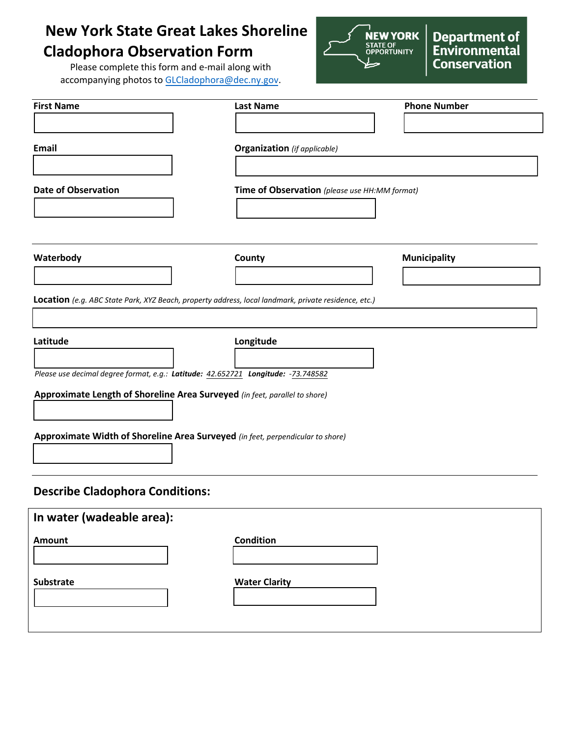## **New York State Great Lakes Shoreline Cladophora Observation Form**

Please complete this form and e-mail along with accompanying photos to [GLCladophora@dec.ny.gov.](mailto:GLCladophora@dec.ny.gov)



**Department of<br>Environmental Conservation** 

| <b>First Name</b>                                                                                    | <b>Last Name</b>                              | <b>Phone Number</b> |
|------------------------------------------------------------------------------------------------------|-----------------------------------------------|---------------------|
|                                                                                                      |                                               |                     |
| Email                                                                                                | <b>Organization</b> (if applicable)           |                     |
|                                                                                                      |                                               |                     |
|                                                                                                      |                                               |                     |
| <b>Date of Observation</b>                                                                           | Time of Observation (please use HH:MM format) |                     |
|                                                                                                      |                                               |                     |
|                                                                                                      |                                               |                     |
| Waterbody                                                                                            | County                                        | <b>Municipality</b> |
|                                                                                                      |                                               |                     |
| Location (e.g. ABC State Park, XYZ Beach, property address, local landmark, private residence, etc.) |                                               |                     |
|                                                                                                      |                                               |                     |
| Latitude                                                                                             | Longitude                                     |                     |
|                                                                                                      |                                               |                     |
| Please use decimal degree format, e.g.: Latitude: 42.652721 Longitude: -73.748582                    |                                               |                     |
| Approximate Length of Shoreline Area Surveyed (in feet, parallel to shore)                           |                                               |                     |
|                                                                                                      |                                               |                     |
| Approximate Width of Shoreline Area Surveyed (in feet, perpendicular to shore)                       |                                               |                     |
|                                                                                                      |                                               |                     |
|                                                                                                      |                                               |                     |
| <b>Describe Cladophora Conditions:</b>                                                               |                                               |                     |
| In water (wadeable area):                                                                            |                                               |                     |
| Amount                                                                                               | <b>Condition</b>                              |                     |
|                                                                                                      |                                               |                     |
| Substrate                                                                                            | <b>Water Clarity</b>                          |                     |
|                                                                                                      |                                               |                     |
|                                                                                                      |                                               |                     |
|                                                                                                      |                                               |                     |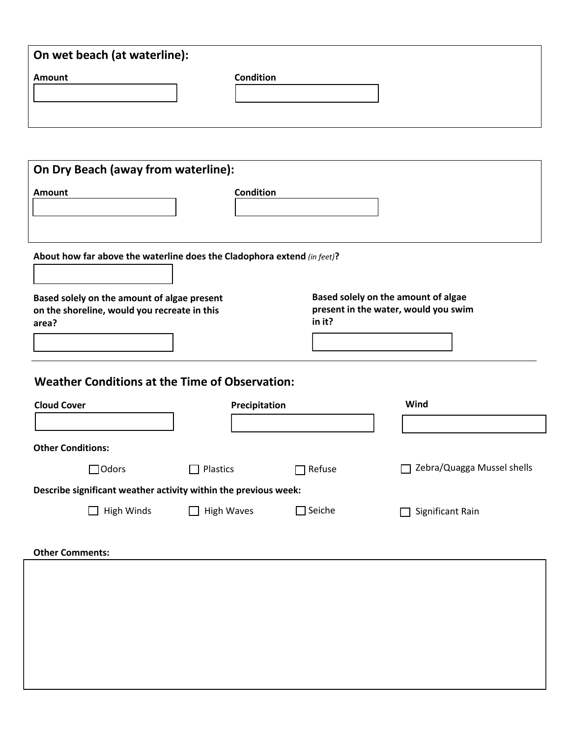| On wet beach (at waterline):                                            |                   |                  |                                      |  |
|-------------------------------------------------------------------------|-------------------|------------------|--------------------------------------|--|
| <b>Amount</b>                                                           | <b>Condition</b>  |                  |                                      |  |
|                                                                         |                   |                  |                                      |  |
|                                                                         |                   |                  |                                      |  |
|                                                                         |                   |                  |                                      |  |
| On Dry Beach (away from waterline):                                     |                   |                  |                                      |  |
| <b>Amount</b>                                                           | <b>Condition</b>  |                  |                                      |  |
|                                                                         |                   |                  |                                      |  |
|                                                                         |                   |                  |                                      |  |
| About how far above the waterline does the Cladophora extend (in feet)? |                   |                  |                                      |  |
|                                                                         |                   |                  |                                      |  |
| Based solely on the amount of algae present                             |                   |                  | Based solely on the amount of algae  |  |
| on the shoreline, would you recreate in this<br>area?                   |                   | in it?           | present in the water, would you swim |  |
|                                                                         |                   |                  |                                      |  |
|                                                                         |                   |                  |                                      |  |
| <b>Weather Conditions at the Time of Observation:</b>                   |                   |                  |                                      |  |
|                                                                         |                   |                  |                                      |  |
| <b>Cloud Cover</b>                                                      | Precipitation     |                  | Wind                                 |  |
|                                                                         |                   |                  |                                      |  |
| <b>Other Conditions:</b>                                                |                   |                  |                                      |  |
| $\Box$ Odors                                                            | $\Box$ Plastics   | Refuse<br>□      | Zebra/Quagga Mussel shells<br>П      |  |
| Describe significant weather activity within the previous week:         |                   |                  |                                      |  |
| $\Box$ High Winds                                                       | $\Box$ High Waves | $\square$ Seiche | Significant Rain<br>$\Box$           |  |
|                                                                         |                   |                  |                                      |  |
| <b>Other Comments:</b>                                                  |                   |                  |                                      |  |
|                                                                         |                   |                  |                                      |  |
|                                                                         |                   |                  |                                      |  |
|                                                                         |                   |                  |                                      |  |
|                                                                         |                   |                  |                                      |  |
|                                                                         |                   |                  |                                      |  |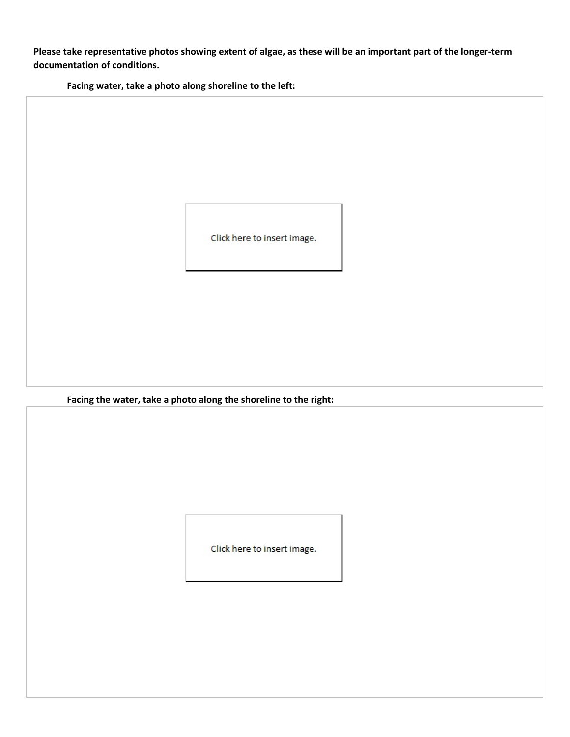**Please take representative photos showing extent of algae, as these will be an important part of the longer-term documentation of conditions.**

**Facing water, take a photo along shoreline to the left:**

Click here to insert image.

**Facing the water, take a photo along the shoreline to the right:**

Click here to insert image.